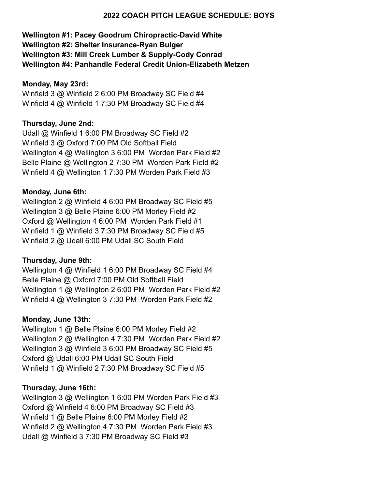#### **2022 COACH PITCH LEAGUE SCHEDULE: BOYS**

# **Wellington #1: Pacey Goodrum Chiropractic-David White Wellington #2: Shelter Insurance-Ryan Bulger Wellington #3: Mill Creek Lumber & Supply-Cody Conrad Wellington #4: Panhandle Federal Credit Union-Elizabeth Metzen**

### **Monday, May 23rd:**

Winfield 3 @ Winfield 2 6:00 PM Broadway SC Field #4 Winfield 4 @ Winfield 1 7:30 PM Broadway SC Field #4

### **Thursday, June 2nd:**

Udall @ Winfield 1 6:00 PM Broadway SC Field #2 Winfield 3 @ Oxford 7:00 PM Old Softball Field Wellington 4 @ Wellington 3 6:00 PM Worden Park Field #2 Belle Plaine @ Wellington 2 7:30 PM Worden Park Field #2 Winfield 4 @ Wellington 1 7:30 PM Worden Park Field #3

### **Monday, June 6th:**

Wellington 2 @ Winfield 4 6:00 PM Broadway SC Field #5 Wellington 3 @ Belle Plaine 6:00 PM Morley Field #2 Oxford @ Wellington 4 6:00 PM Worden Park Field #1 Winfield 1 @ Winfield 3 7:30 PM Broadway SC Field #5 Winfield 2 @ Udall 6:00 PM Udall SC South Field

### **Thursday, June 9th:**

Wellington 4 @ Winfield 1 6:00 PM Broadway SC Field #4 Belle Plaine @ Oxford 7:00 PM Old Softball Field Wellington 1 @ Wellington 2 6:00 PM Worden Park Field #2 Winfield 4 @ Wellington 3 7:30 PM Worden Park Field #2

### **Monday, June 13th:**

Wellington 1 @ Belle Plaine 6:00 PM Morley Field #2 Wellington 2 @ Wellington 4 7:30 PM Worden Park Field #2 Wellington 3 @ Winfield 3 6:00 PM Broadway SC Field #5 Oxford @ Udall 6:00 PM Udall SC South Field Winfield 1 @ Winfield 2 7:30 PM Broadway SC Field #5

#### **Thursday, June 16th:**

Wellington 3 @ Wellington 1 6:00 PM Worden Park Field #3 Oxford @ Winfield 4 6:00 PM Broadway SC Field #3 Winfield 1 @ Belle Plaine 6:00 PM Morley Field #2 Winfield 2 @ Wellington 4 7:30 PM Worden Park Field #3 Udall @ Winfield 3 7:30 PM Broadway SC Field #3